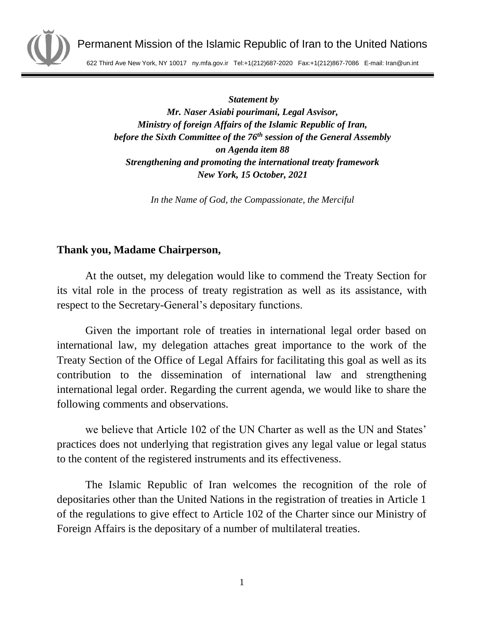

Permanent Mission of the Islamic Republic of Iran to the United Nations

622 Third Ave New York, NY 10017 ny.mfa.gov.ir Tel:+1(212)687-2020 Fax:+1(212)867-7086 E-mail: Iran@un.int

*Statement by Mr. Naser Asiabi pourimani, Legal Asvisor, Ministry of foreign Affairs of the Islamic Republic of Iran, before the Sixth Committee of the 76th session of the General Assembly on Agenda item 88 Strengthening and promoting the international treaty framework New York, 15 October, 2021*

*In the Name of God, the Compassionate, the Merciful*

## **Thank you, Madame Chairperson,**

At the outset, my delegation would like to commend the Treaty Section for its vital role in the process of treaty registration as well as its assistance, with respect to the Secretary-General's depositary functions.

Given the important role of treaties in international legal order based on international law, my delegation attaches great importance to the work of the Treaty Section of the Office of Legal Affairs for facilitating this goal as well as its contribution to the dissemination of international law and strengthening international legal order. Regarding the current agenda, we would like to share the following comments and observations.

we believe that Article 102 of the UN Charter as well as the UN and States' practices does not underlying that registration gives any legal value or legal status to the content of the registered instruments and its effectiveness.

The Islamic Republic of Iran welcomes the recognition of the role of depositaries other than the United Nations in the registration of treaties in Article 1 of the regulations to give effect to Article 102 of the Charter since our Ministry of Foreign Affairs is the depositary of a number of multilateral treaties.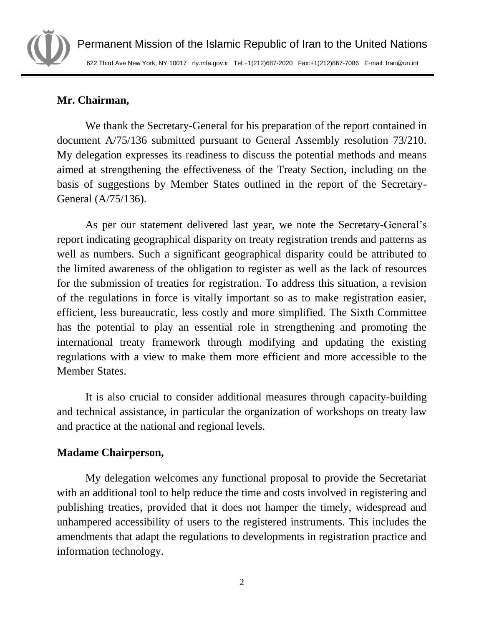

## **Mr. Chairman,**

We thank the Secretary-General for his preparation of the report contained in document A/75/136 submitted pursuant to General Assembly resolution 73/210. My delegation expresses its readiness to discuss the potential methods and means aimed at strengthening the effectiveness of the Treaty Section, including on the basis of suggestions by Member States outlined in the report of the Secretary-General (A/75/136).

As per our statement delivered last year, we note the Secretary-General's report indicating geographical disparity on treaty registration trends and patterns as well as numbers. Such a significant geographical disparity could be attributed to the limited awareness of the obligation to register as well as the lack of resources for the submission of treaties for registration. To address this situation, a revision of the regulations in force is vitally important so as to make registration easier, efficient, less bureaucratic, less costly and more simplified. The Sixth Committee has the potential to play an essential role in strengthening and promoting the international treaty framework through modifying and updating the existing regulations with a view to make them more efficient and more accessible to the Member States.

It is also crucial to consider additional measures through capacity-building and technical assistance, in particular the organization of workshops on treaty law and practice at the national and regional levels.

## **Madame Chairperson,**

My delegation welcomes any functional proposal to provide the Secretariat with an additional tool to help reduce the time and costs involved in registering and publishing treaties, provided that it does not hamper the timely, widespread and unhampered accessibility of users to the registered instruments. This includes the amendments that adapt the regulations to developments in registration practice and information technology.